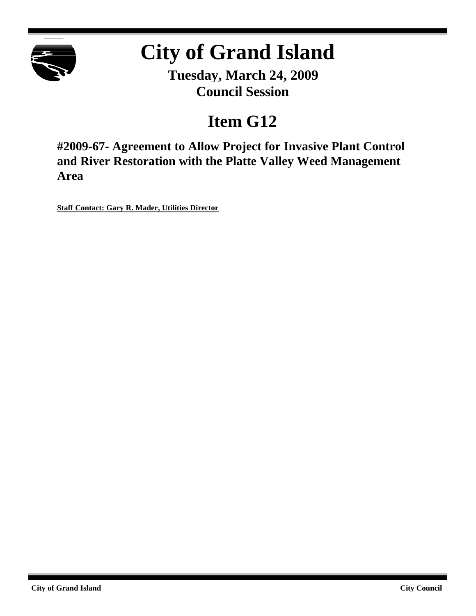

# **City of Grand Island**

**Tuesday, March 24, 2009 Council Session**

## **Item G12**

**#2009-67- Agreement to Allow Project for Invasive Plant Control and River Restoration with the Platte Valley Weed Management Area**

**Staff Contact: Gary R. Mader, Utilities Director**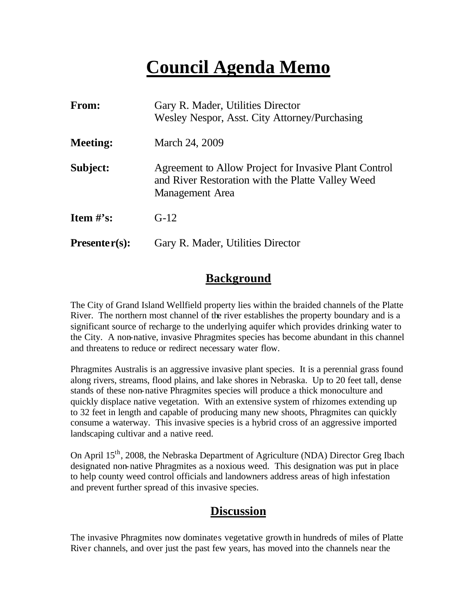## **Council Agenda Memo**

| <b>From:</b>    | Gary R. Mader, Utilities Director<br>Wesley Nespor, Asst. City Attorney/Purchasing                                            |
|-----------------|-------------------------------------------------------------------------------------------------------------------------------|
| <b>Meeting:</b> | March 24, 2009                                                                                                                |
| Subject:        | Agreement to Allow Project for Invasive Plant Control<br>and River Restoration with the Platte Valley Weed<br>Management Area |
| Item $#$ 's:    | $G-12$                                                                                                                        |
| $Presenter(s):$ | Gary R. Mader, Utilities Director                                                                                             |

#### **Background**

The City of Grand Island Wellfield property lies within the braided channels of the Platte River. The northern most channel of the river establishes the property boundary and is a significant source of recharge to the underlying aquifer which provides drinking water to the City. A non-native, invasive Phragmites species has become abundant in this channel and threatens to reduce or redirect necessary water flow.

Phragmites Australis is an aggressive invasive plant species. It is a perennial grass found along rivers, streams, flood plains, and lake shores in Nebraska. Up to 20 feet tall, dense stands of these non-native Phragmites species will produce a thick monoculture and quickly displace native vegetation. With an extensive system of rhizomes extending up to 32 feet in length and capable of producing many new shoots, Phragmites can quickly consume a waterway. This invasive species is a hybrid cross of an aggressive imported landscaping cultivar and a native reed.

On April 15th, 2008, the Nebraska Department of Agriculture (NDA) Director Greg Ibach designated non-native Phragmites as a noxious weed. This designation was put in place to help county weed control officials and landowners address areas of high infestation and prevent further spread of this invasive species.

#### **Discussion**

The invasive Phragmites now dominates vegetative growth in hundreds of miles of Platte River channels, and over just the past few years, has moved into the channels near the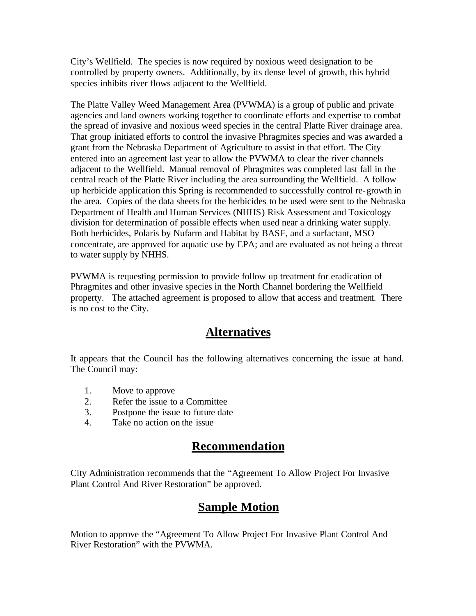City's Wellfield. The species is now required by noxious weed designation to be controlled by property owners. Additionally, by its dense level of growth, this hybrid species inhibits river flows adjacent to the Wellfield.

The Platte Valley Weed Management Area (PVWMA) is a group of public and private agencies and land owners working together to coordinate efforts and expertise to combat the spread of invasive and noxious weed species in the central Platte River drainage area. That group initiated efforts to control the invasive Phragmites species and was awarded a grant from the Nebraska Department of Agriculture to assist in that effort. The City entered into an agreement last year to allow the PVWMA to clear the river channels adjacent to the Wellfield. Manual removal of Phragmites was completed last fall in the central reach of the Platte River including the area surrounding the Wellfield. A follow up herbicide application this Spring is recommended to successfully control re-growth in the area. Copies of the data sheets for the herbicides to be used were sent to the Nebraska Department of Health and Human Services (NHHS) Risk Assessment and Toxicology division for determination of possible effects when used near a drinking water supply. Both herbicides, Polaris by Nufarm and Habitat by BASF, and a surfactant, MSO concentrate, are approved for aquatic use by EPA; and are evaluated as not being a threat to water supply by NHHS.

PVWMA is requesting permission to provide follow up treatment for eradication of Phragmites and other invasive species in the North Channel bordering the Wellfield property. The attached agreement is proposed to allow that access and treatment. There is no cost to the City.

### **Alternatives**

It appears that the Council has the following alternatives concerning the issue at hand. The Council may:

- 1. Move to approve
- 2. Refer the issue to a Committee
- 3. Postpone the issue to future date
- 4. Take no action on the issue

#### **Recommendation**

City Administration recommends that the "Agreement To Allow Project For Invasive Plant Control And River Restoration" be approved.

#### **Sample Motion**

Motion to approve the "Agreement To Allow Project For Invasive Plant Control And River Restoration" with the PVWMA.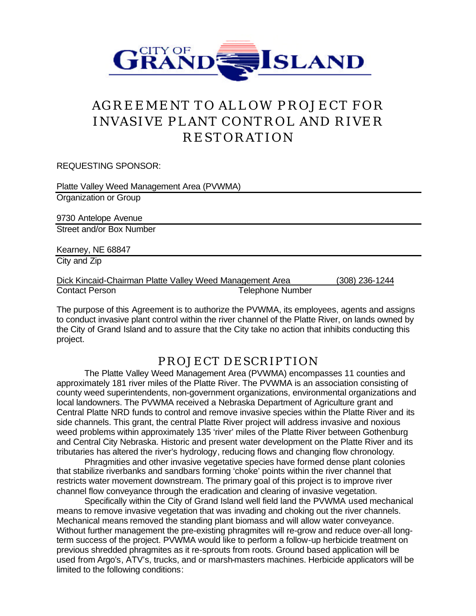

## AGREEMENT TO ALLOW PROJECT FOR INVASIVE PLANT CONTROL AND RIVER RESTORATION

REQUESTING SPONSOR:

| Platte Valley Weed Management Area (PVWMA)               |                         |                |  |  |
|----------------------------------------------------------|-------------------------|----------------|--|--|
| Organization or Group                                    |                         |                |  |  |
| 9730 Antelope Avenue                                     |                         |                |  |  |
| Street and/or Box Number                                 |                         |                |  |  |
| Kearney, NE 68847                                        |                         |                |  |  |
| City and Zip                                             |                         |                |  |  |
| Dick Kincaid-Chairman Platte Valley Weed Management Area |                         | (308) 236-1244 |  |  |
| <b>Contact Person</b>                                    | <b>Telephone Number</b> |                |  |  |

The purpose of this Agreement is to authorize the PVWMA, its employees, agents and assigns to conduct invasive plant control within the river channel of the Platte River, on lands owned by the City of Grand Island and to assure that the City take no action that inhibits conducting this project.

#### PROJECT DESCRIPTION

The Platte Valley Weed Management Area (PVWMA) encompasses 11 counties and approximately 181 river miles of the Platte River. The PVWMA is an association consisting of county weed superintendents, non-government organizations, environmental organizations and local landowners. The PVWMA received a Nebraska Department of Agriculture grant and Central Platte NRD funds to control and remove invasive species within the Platte River and its side channels. This grant, the central Platte River project will address invasive and noxious weed problems within approximately 135 'river' miles of the Platte River between Gothenburg and Central City Nebraska. Historic and present water development on the Platte River and its tributaries has altered the river's hydrology, reducing flows and changing flow chronology.

Phragmities and other invasive vegetative species have formed dense plant colonies that stabilize riverbanks and sandbars forming 'choke' points within the river channel that restricts water movement downstream. The primary goal of this project is to improve river channel flow conveyance through the eradication and clearing of invasive vegetation.

Specifically within the City of Grand Island well field land the PVWMA used mechanical means to remove invasive vegetation that was invading and choking out the river channels. Mechanical means removed the standing plant biomass and will allow water conveyance. Without further management the pre-existing phragmites will re-grow and reduce over-all longterm success of the project. PVWMA would like to perform a follow-up herbicide treatment on previous shredded phragmites as it re-sprouts from roots. Ground based application will be used from Argo's, ATV's, trucks, and or marsh-masters machines. Herbicide applicators will be limited to the following conditions: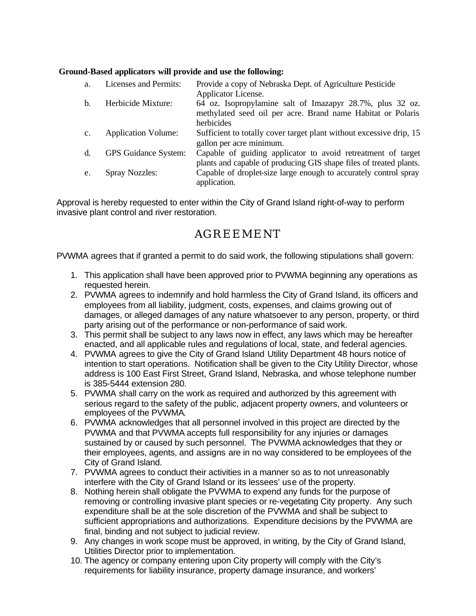#### **Ground-Based applicators will provide and use the following:**

| a.             | Licenses and Permits:       | Provide a copy of Nebraska Dept. of Agriculture Pesticide           |
|----------------|-----------------------------|---------------------------------------------------------------------|
|                |                             | Applicator License.                                                 |
| b.             | Herbicide Mixture:          | 64 oz. Isopropylamine salt of Imazapyr 28.7%, plus 32 oz.           |
|                |                             | methylated seed oil per acre. Brand name Habitat or Polaris         |
|                |                             | herbicides                                                          |
| $\mathbf{c}$ . | <b>Application Volume:</b>  | Sufficient to totally cover target plant without excessive drip, 15 |
|                |                             | gallon per acre minimum.                                            |
| d.             | <b>GPS</b> Guidance System: | Capable of guiding applicator to avoid retreatment of target        |
|                |                             | plants and capable of producing GIS shape files of treated plants.  |
| e.             | <b>Spray Nozzles:</b>       | Capable of droplet-size large enough to accurately control spray    |
|                |                             | application.                                                        |

Approval is hereby requested to enter within the City of Grand Island right-of-way to perform invasive plant control and river restoration.

### AGREEMENT

PVWMA agrees that if granted a permit to do said work, the following stipulations shall govern:

- 1. This application shall have been approved prior to PVWMA beginning any operations as requested herein.
- 2. PVWMA agrees to indemnify and hold harmless the City of Grand Island, its officers and employees from all liability, judgment, costs, expenses, and claims growing out of damages, or alleged damages of any nature whatsoever to any person, property, or third party arising out of the performance or non-performance of said work.
- 3. This permit shall be subject to any laws now in effect, any laws which may be hereafter enacted, and all applicable rules and regulations of local, state, and federal agencies.
- 4. PVWMA agrees to give the City of Grand Island Utility Department 48 hours notice of intention to start operations. Notification shall be given to the City Utility Director, whose address is 100 East First Street, Grand Island, Nebraska, and whose telephone number is 385-5444 extension 280.
- 5. PVWMA shall carry on the work as required and authorized by this agreement with serious regard to the safety of the public, adjacent property owners, and volunteers or employees of the PVWMA.
- 6. PVWMA acknowledges that all personnel involved in this project are directed by the PVWMA and that PVWMA accepts full responsibility for any injuries or damages sustained by or caused by such personnel. The PVWMA acknowledges that they or their employees, agents, and assigns are in no way considered to be employees of the City of Grand Island.
- 7. PVWMA agrees to conduct their activities in a manner so as to not unreasonably interfere with the City of Grand Island or its lessees' use of the property.
- 8. Nothing herein shall obligate the PVWMA to expend any funds for the purpose of removing or controlling invasive plant species or re-vegetating City property. Any such expenditure shall be at the sole discretion of the PVWMA and shall be subject to sufficient appropriations and authorizations. Expenditure decisions by the PVWMA are final, binding and not subject to judicial review.
- 9. Any changes in work scope must be approved, in writing, by the City of Grand Island, Utilities Director prior to implementation.
- 10. The agency or company entering upon City property will comply with the City's requirements for liability insurance, property damage insurance, and workers'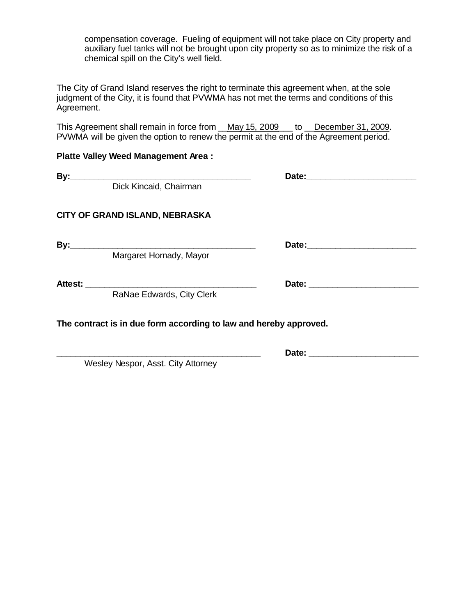compensation coverage. Fueling of equipment will not take place on City property and auxiliary fuel tanks will not be brought upon city property so as to minimize the risk of a chemical spill on the City's well field.

The City of Grand Island reserves the right to terminate this agreement when, at the sole judgment of the City, it is found that PVWMA has not met the terms and conditions of this Agreement.

This Agreement shall remain in force from \_\_May 15, 2009\_\_\_ to \_\_December 31, 2009. PVWMA will be given the option to renew the permit at the end of the Agreement period.

#### **Platte Valley Weed Management Area :**

| By:<br><u> 1989 - Johann John Stone, mars and de final and de final and de final and de final and de final and de final</u> |                                                                                                                       |                               |  |
|-----------------------------------------------------------------------------------------------------------------------------|-----------------------------------------------------------------------------------------------------------------------|-------------------------------|--|
|                                                                                                                             | Dick Kincaid, Chairman                                                                                                |                               |  |
|                                                                                                                             | CITY OF GRAND ISLAND, NEBRASKA                                                                                        |                               |  |
| By:                                                                                                                         | <u> 1989 - Johann John Stone, meilich aus der Stone († 1918)</u><br>Margaret Hornady, Mayor                           |                               |  |
| <b>Attest:</b>                                                                                                              | <u> 1989 - Johann Barbara, martin amerikan basal dan berasal dalam basal dalam basal dalam basal dalam basal dala</u> | Date: _______________________ |  |
|                                                                                                                             | RaNae Edwards, City Clerk                                                                                             |                               |  |

**\_\_\_\_\_\_\_\_\_\_\_\_\_\_\_\_\_\_\_\_\_\_\_\_\_\_\_\_\_\_\_\_\_\_\_\_\_\_\_\_\_\_\_ Date: \_\_\_\_\_\_\_\_\_\_\_\_\_\_\_\_\_\_\_\_\_\_\_**

**The contract is in due form according to law and hereby approved.**

Wesley Nespor, Asst. City Attorney